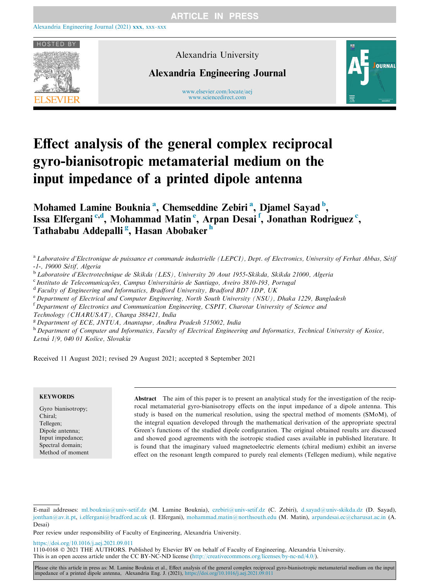

Alexandria University

Alexandria Engineering Journal

www.elsevier.com/locate/aej [www.sciencedirect.com](http://www.sciencedirect.com/science/journal/11100168)



# Effect analysis of the general complex reciprocal gyro-bianisotropic metamaterial medium on the input impedance of a printed dipole antenna

Mohamed Lamine Bouknia<sup>a</sup>, Chemseddine Zebiri<sup>a</sup>, Djamel Sayad<sup>b</sup>, Issa Elfergani<sup>c,d</sup>, Mohammad Matin<sup>e</sup>, Arpan Desai<sup>f</sup>, Jonathan Rodriguez<sup>c</sup>, Tathababu Addepalli<sup>g</sup>, Hasan Abobaker<sup>h</sup>

- <sup>a</sup> Laboratoire d'Electronique de puissance et commande industrielle (LEPCI), Dept. of Electronics, University of Ferhat Abbas, Sétif
- -1-, 19000 Sétif, Algeria<br><sup>b</sup>Laboratoire d'Electrotechnique de Skikda (LES), University 20 Aout 1955-Skikda, Skikda 21000, Algeria
- <sup>c</sup> Instituto de Telecomunicações, Campus Universitário de Santiago, Aveiro 3810-193, Portugal
- $d$  Faculty of Engineering and Informatics, Bradford University, Bradford BD7 1DP, UK
- <sup>e</sup> Department of Electrical and Computer Engineering, North South University (NSU), Dhaka 1229, Bangladesh
- <sup>f</sup> Department of Electronics and Communication Engineering, CSPIT, Charotar University of Science ana

Technology (CHARUSAT), Changa 388421, India

 ${}^{8}$  Department of ECE, JNTUA, Anantapur, Andhra Pradesh 515002, India

h Department of Computer and Informatics, Faculty of Electrical Engineering and Informatics, Technical University of Kosice, Letná 1/9, 040 01 Košice, Slovakia

Received 11 August 2021; revised 29 August 2021; accepted 8 September 2021

## **KEYWORDS**

Gyro bianisotropy; Chiral; Tellegen; Dipole antenna; Input impedance; Spectral domain; Method of moment

Abstract The aim of this paper is to present an analytical study for the investigation of the reciprocal metamaterial gyro-bianisotropy effects on the input impedance of a dipole antenna. This study is based on the numerical resolution, using the spectral method of moments (SMoM), of the integral equation developed through the mathematical derivation of the appropriate spectral Green's functions of the studied dipole configuration. The original obtained results are discussed and showed good agreements with the isotropic studied cases available in published literature. It is found that the imaginary valued magnetoelectric elements (chiral medium) exhibit an inverse effect on the resonant length compared to purely real elements (Tellegen medium), while negative

<https://doi.org/10.1016/j.aej.2021.09.011>

1110-0168 2021 THE AUTHORS. Published by Elsevier BV on behalf of Faculty of Engineering, Alexandria University. This is an open access article under the CC BY-NC-ND license [\(http://creativecommons.org/licenses/by-nc-nd/4.0/](http://creativecommons.org/licenses/by-nc-nd/4.0/)).

Please cite this article in press as: M. Lamine Bouknia et al., Effect analysis of the general complex reciprocal gyro-bianisotropic metamaterial medium on the input impedance of a printed dipole antenna, Alexandria Eng. J. (2021), <https://doi.org/10.1016/j.aej.2021.09.011>

E-mail addresses: [ml.bouknia@univ-setif.dz](mailto:ml.bouknia@univ-setif.dz) (M. Lamine Bouknia), [czebiri@univ-setif.dz](mailto:czebiri@univ-setif.dz) (C. Zebiri), [d.sayad@univ-skikda.dz](mailto:d.sayad@univ-skikda.dz) (D. Sayad), [jonthan@av.it.pt,](mailto:jonthan@av.it.pt) [i.elfergani@bradford.ac.uk](mailto:i.elfergani@bradford.ac.uk) (I. Elfergani), [mohammad.matin@northsouth.edu](mailto:mohammad.matin@northsouth.edu) (M. Matin), [arpandesai.ec@charusat.ac.in](mailto:arpandesai.ec@charusat.ac.in) (A. Desai)

Peer review under responsibility of Faculty of Engineering, Alexandria University.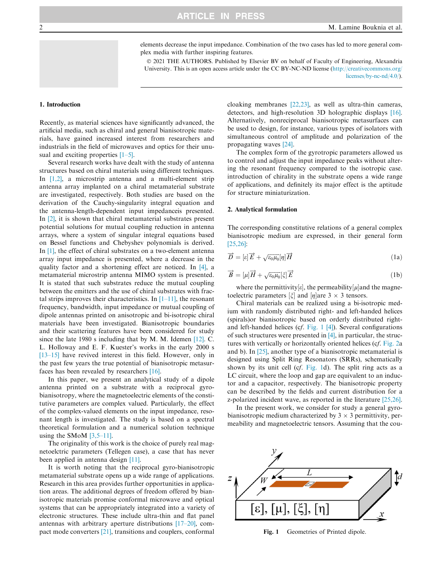elements decrease the input impedance. Combination of the two cases has led to more general complex media with further inspiring features.

 2021 THE AUTHORS. Published by Elsevier BV on behalf of Faculty of Engineering, Alexandria University. This is an open access article under the CC BY-NC-ND license [\(http://creativecommons.org/](http://creativecommons.org/licenses/by-nc-nd/4.0/) [licenses/by-nc-nd/4.0/](http://creativecommons.org/licenses/by-nc-nd/4.0/)).

# <span id="page-1-0"></span>1. Introduction

Recently, as material sciences have significantly advanced, the artificial media, such as chiral and general bianisotropic materials, have gained increased interest from researchers and industrials in the field of microwaves and optics for their unusual and exciting properties [\[1–5\].](#page-4-0)

Several research works have dealt with the study of antenna structures based on chiral materials using different techniques. In [\[1,2\],](#page-4-0) a microstrip antenna and a multi-element strip antenna array implanted on a chiral metamaterial substrate are investigated, respectively. Both studies are based on the derivation of the Cauchy-singularity integral equation and the antenna-length-dependent input impedanceis presented. In [\[2\],](#page-4-0) it is shown that chiral metamaterial substrates present potential solutions for mutual coupling reduction in antenna arrays, where a system of singular integral equations based on Bessel functions and Chebyshev polynomials is derived. In [\[1\]](#page-4-0), the effect of chiral substrates on a two-element antenna array input impedance is presented, where a decrease in the quality factor and a shortening effect are noticed. In [\[4\],](#page-4-0) a metamaterial microstrip antenna MIMO system is presented. It is stated that such substrates reduce the mutual coupling between the emitters and the use of chiral substrates with fractal strips improves their characteristics. In  $[1-11]$ , the resonant frequency, bandwidth, input impedance or mutual coupling of dipole antennas printed on anisotropic and bi-isotropic chiral materials have been investigated. Bianisotropic boundaries and their scattering features have been considered for study since the late 1980 s including that by M. M. Idemen [\[12\].](#page-5-0) C. L. Holloway and E. F. Kuester's works in the early 2000 s [\[13–15\]](#page-5-0) have revived interest in this field. However, only in the past few years the true potential of bianisotropic metasurfaces has been revealed by researchers [\[16\]](#page-5-0).

In this paper, we present an analytical study of a dipole antenna printed on a substrate with a reciprocal gyrobianisotropy, where the magnetoelectric elements of the constitutive parameters are complex valued. Particularly, the effect of the complex-valued elements on the input impedance, resonant length is investigated. The study is based on a spectral theoretical formulation and a numerical solution technique using the SMoM  $[3,5-11]$ .

The originality of this work is the choice of purely real magnetoelctric parameters (Tellegen case), a case that has never been applied in antenna design [\[11\].](#page-5-0)

It is worth noting that the reciprocal gyro-bianisotropic metamaterial substrate opens up a wide range of applications. Research in this area provides further opportunities in application areas. The additional degrees of freedom offered by bianisotropic materials promise conformal microwave and optical systems that can be appropriately integrated into a variety of electronic structures. These include ultra-thin and flat panel antennas with arbitrary aperture distributions [\[17–20\]](#page-5-0), compact mode converters [\[21\],](#page-5-0) transitions and couplers, conformal cloaking membranes [\[22,23\]](#page-5-0), as well as ultra-thin cameras, detectors, and high-resolution 3D holographic displays [\[16\]](#page-5-0). Alternatively, nonreciprocal bianisotropic metasurfaces can be used to design, for instance, various types of isolators with simultaneous control of amplitude and polarization of the propagating waves [\[24\]](#page-5-0).

The complex form of the gyrotropic parameters allowed us to control and adjust the input impedance peaks without altering the resonant frequency compared to the isotropic case. introduction of chirality in the substrate opens a wide range of applications, and definitely its major effect is the aptitude for structure miniaturization.

# 2. Analytical formulation

The corresponding constitutive relations of a general complex bianisotropic medium are expressed, in their general form [\[25,26\]](#page-5-0):

$$
\overrightarrow{D} = [\varepsilon] \overrightarrow{E} + \sqrt{\varepsilon_0 \mu_0} [\eta] \overrightarrow{H}
$$
 (1a)

$$
\vec{B} = [\mu]\vec{H} + \sqrt{\varepsilon_0\mu_0}[\xi]\vec{E}
$$
 (1b)

where the permittivity[ $\varepsilon$ ], the permeability[ $\mu$ ] and the magne-<br>lectric parameters [ $\epsilon$ ] and [ $\nu$ ] are 3  $\times$  3 tensors toelectric parameters  $\left[\xi\right]$  and  $\left[\eta\right]$  are 3  $\times$  3 tensors.<br>Chiral materials can be realized using a bi-ise

Chiral materials can be realized using a bi-isotropic medium with randomly distributed right- and left-handed helices (spirals)or bianisotropic based on orderly distributed rightand left-handed helices (cf. Fig. 1 [\[4\]](#page-4-0)). Several configurations of such structures were presented in [\[4\],](#page-4-0) in particular, the structures with vertically or horizontally oriented helices (cf. [Fig. 2](#page-2-0)a and b). In [\[25\]](#page-5-0), another type of a bianisotropic metamaterial is designed using Split Ring Resonators (SRRs), schematically shown by its unit cell (cf. Fig. 1d). The split ring acts as a LC circuit, where the loop and gap are equivalent to an inductor and a capacitor, respectively. The bianisotropic property can be described by the fields and current distribution for a z-polarized incident wave, as reported in the literature [\[25,26\]](#page-5-0).

In the present work, we consider for study a general gyrobianisotropic medium characterized by  $3 \times 3$  permittivity, permeability and magnetoelectric tensors. Assuming that the cou-



Fig. 1 Geometries of Printed dipole.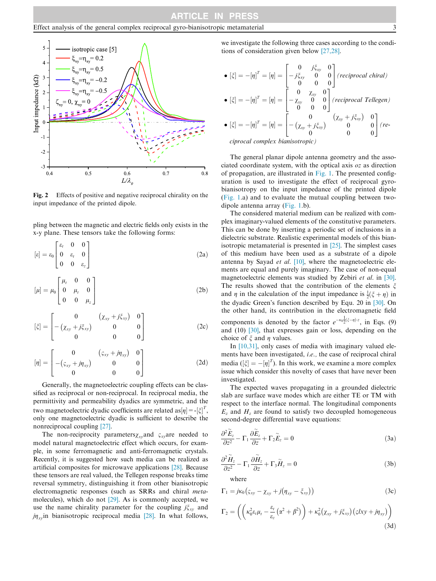### Effect analysis of the general complex reciprocal gyro-bianisotropic metamaterial 3

<span id="page-2-0"></span>

Fig. 2 Effects of positive and negative reciprocal chirality on the input impedance of the printed dipole.

pling between the magnetic and electric fields only exists in the x-y plane. These tensors take the following forms:

$$
[\varepsilon] = \varepsilon_0 \begin{bmatrix} \varepsilon_t & 0 & 0 \\ 0 & \varepsilon_t & 0 \\ 0 & 0 & \varepsilon_z \end{bmatrix}
$$
 (2a)

$$
[\mu] = \mu_0 \begin{bmatrix} \mu_t & 0 & 0 \\ 0 & \mu_t & 0 \\ 0 & 0 & \mu_z \end{bmatrix}
$$
 (2b)

$$
[\xi] = \begin{bmatrix} 0 & (\chi_{xy} + j\xi_{xy}) & 0 \\ -(\chi_{xy} + j\xi_{xy}) & 0 & 0 \\ 0 & 0 & 0 \end{bmatrix}
$$
 (2c)

$$
[\eta] = \begin{bmatrix} 0 & (\varsigma_{xy} + j\eta_{xy}) & 0 \\ -(\varsigma_{xy} + j\eta_{xy}) & 0 & 0 \\ 0 & 0 & 0 \end{bmatrix}
$$
 (2d)

Generally, the magnetoelectric coupling effects can be classified as reciprocal or non-reciprocal. In reciprocal media, the permittivity and permeability dyadics are symmetric, and the two magnetoelectric dyadic coefficients are related as  $[\eta] = [\xi]^T$ ,<br>only one magnetoelectric dyadic is sufficient to describe the only one magnetoelectric dyadic is sufficient to describe the nonreciprocal coupling [\[27\].](#page-5-0)

The non-reciprocity parameters  $\chi_{xy}$  and  $\varsigma_{xy}$  are needed to model natural magnetoelectric effect which occurs, for example, in some ferromagnetic and anti-ferromagnetic crystals. Recently, it is suggested how such media can be realized as artificial composites for microwave applications [\[28\]](#page-5-0). Because these tensors are real valued, the Tellegen response breaks time reversal symmetry, distinguishing it from other bianisotropic electromagnetic responses (such as SRRs and chiral metamolecules), which do not [\[29\].](#page-5-0) As is commonly accepted, we use the name chirality parameter for the coupling  $j\xi_{xy}$  and  $j\eta_{xy}$ in bianisotropic reciprocal media [\[28\]](#page-5-0). In what follows,

we investigate the following three cases according to the conditions of consideration given below [\[27,28\]](#page-5-0).

$$
\bullet [\xi] = -[\eta]^T = [\eta] = \begin{bmatrix} 0 & j\xi_{xy} & 0 \\ -j\xi_{xy} & 0 & 0 \\ 0 & 0 & 0 \end{bmatrix} (reciprocal chiral)
$$

$$
\bullet [\xi] = -[\eta]^T = [\eta] = \begin{bmatrix} 0 & \chi_{xy} & 0 \\ -\chi_{xy} & 0 & 0 \\ 0 & 0 & 0 \end{bmatrix} (reciprocal Tellegen)
$$

$$
\bullet [\xi] = -[\eta]^T = [\eta] = \begin{bmatrix} 0 & (\chi_{xy} + j\xi_{xy}) & 0 \\ -(\chi_{xy} + j\xi_{xy}) & 0 & 0 \\ 0 & 0 & 0 \end{bmatrix} (re-
$$

ciprocal complex bianisotropic)

The general planar dipole antenna geometry and the associated coordinate system, with the optical axis oz as direction of propagation, are illustrated in [Fig. 1](#page-1-0). The presented configuration is used to investigate the effect of reciprocal gyrobianisotropy on the input impedance of the printed dipole [\(Fig. 1.](#page-1-0)a) and to evaluate the mutual coupling between twodipole antenna array [\(Fig. 1.](#page-1-0)b).

The considered material medium can be realized with complex imaginary-valued elements of the constitutive parameters. This can be done by inserting a periodic set of inclusions in a dielectric substrate. Realistic experimental models of this bianisotropic metamaterial is presented in [\[25\].](#page-5-0) The simplest cases of this medium have been used as a substrate of a dipole antenna by Sayad et al. [\[10\],](#page-5-0) where the magnetoelectric elements are equal and purely imaginary. The case of non-equal magnetoelectric elements was studied by Zebiri et al. in [\[30\]](#page-5-0). The results showed that the contribution of the elements  $\xi$ and  $\eta$  in the calculation of the input impedance is  $\frac{1}{2}(\xi + \eta)$  in the duadio Green's function described by Equ. 20 in [20]. On the dyadic Green's function described by Equ. 20 in [\[30\].](#page-5-0) On the other hand, its contribution in the electromagnetic field components is denoted by the factor  $e^{-\kappa_0} \bar{2}^{(\xi-\eta)/z}$ , in Eqs. (9) and (10) [\[30\],](#page-5-0) that expresses gain or loss, depending on the choice of  $\xi$  and  $\eta$  values.

In [\[10,31\]](#page-5-0), only cases of media with imaginary valued elements have been investigated, i.e., the case of reciprocal chiral media ( $[\xi] = -[\eta]^T$ ). In this work, we examine a more complex<br>issue which consider this novelty of cases that have never been media  $(|\zeta| = -|\eta|)$ . In this work, we examine a more complex issue which consider this novelty of cases that have never been investigated.

The expected waves propagating in a grounded dielectric slab are surface wave modes which are either TE or TM with respect to the interface normal. The longitudinal components  $E<sub>z</sub>$  and  $H<sub>z</sub>$  are found to satisfy two decoupled homogeneous second-degree differential wave equations:

$$
\frac{\partial^2 \widetilde{E}_z}{\partial z^2} - \Gamma_1 \frac{\partial \widetilde{E}_z}{\partial z} + \Gamma_2 \widetilde{E}_z = 0
$$
\n(3a)

$$
\frac{\partial^2 \widetilde{H}_z}{\partial z^2} - \Gamma_1 \frac{\partial \widetilde{H}_z}{\partial z} + \Gamma_3 \widetilde{H}_z = 0
$$
 (3b)

where

$$
\Gamma_1 = j\kappa_0 \left( \varsigma_{xy} - \chi_{xy} + j \left( \eta_{xy} - \xi_{xy} \right) \right) \tag{3c}
$$

$$
\Gamma_2 = \left( \left( \kappa_0^2 \varepsilon_t \mu_t - \frac{\varepsilon_t}{\varepsilon_z} \left( \alpha^2 + \beta^2 \right) \right) + \kappa_0^2 \left( \chi_{xy} + j \zeta_{xy} \right) \left( \varsigma l xy + j \eta_{xy} \right) \right) \tag{3d}
$$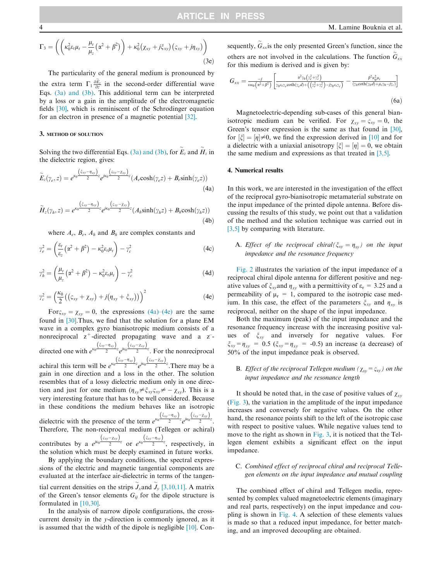$$
\Gamma_3 = \left( \left( \kappa_0^2 \varepsilon_t \mu_t - \frac{\mu_t}{\mu_z} \left( \alpha^2 + \beta^2 \right) \right) + \kappa_0^2 \left( \chi_{xy} + j \zeta_{xy} \right) \left( \varsigma_{xy} + j \eta_{xy} \right) \right) \tag{3e}
$$

The particularity of the general medium is pronounced by the extra term  $\Gamma_1 \frac{\partial \tilde{E}_z}{\partial z}$  in the second-order differential wave Eqs. [\(3a\) and \(3b\).](#page-2-0) This additional term can be interpreted by a loss or a gain in the amplitude of the electromagnetic fields [\[30\]](#page-5-0), which is reminiscent of the Schrodinger equation for an electron in presence of a magnetic potential [\[32\].](#page-5-0)

## 3. METHOD OF SOLUTION

Solving the two differential Eqs. [\(3a\) and \(3b\)](#page-2-0), for  $E_z$  and  $H_z$  in the dielectric region, gives:

$$
\widetilde{E}_z(\gamma_e, z) = e^{\kappa_0 \frac{\left(\xi_{xy} - \eta_{xy}\right)}{2}z} e^{i\kappa_0 \frac{\left(\varsigma_{xy} - \chi_{xy}\right)}{2}z} (A_e \cosh(\gamma_e z) + B_e \sinh(\gamma_e z)) \tag{4a}
$$

$$
\widetilde{H}_z(\gamma_h, z) = e^{\kappa_0 \frac{\left(\xi_{xy} - \eta_{xy}\right)}{2}z} e^{j\kappa_0 \frac{\left(\zeta_{xy} - \chi_{xy}\right)}{2}z} (A_h \sinh(\gamma_h z) + B_h \cosh(\gamma_h z)) \tag{4b}
$$

where  $A_e$ ,  $B_e$ ,  $A_h$  and  $B_h$  are complex constants and

$$
\gamma_e^2 = \left(\frac{\varepsilon_t}{\varepsilon_z} \left(\alpha^2 + \beta^2\right) - \kappa_0^2 \varepsilon_t \mu_t\right) - \gamma_c^2 \tag{4c}
$$

$$
\gamma_h^2 = \left(\frac{\mu_t}{\mu_z} \left(\alpha^2 + \beta^2\right) - \kappa_0^2 \varepsilon_t \mu_t\right) - \gamma_c^2 \tag{4d}
$$

$$
\gamma_c^2 = \left(\frac{\kappa_0}{2}((\varsigma_{xy} + \chi_{xy}) + j(\eta_{xy} + \xi_{xy}))\right)^2
$$
 (4e)

For $\zeta_{xy} = \chi_{xy} = 0$ , the expressions (4a)–(4e) are the same found in [\[30\]](#page-5-0).Thus, we find that the solution for a plane EM wave in a complex gyro bianisotropic medium consists of a nonreciprocal  $z^+$ -directed propagating wave and a  $z^-$ directed one with  $e^{\kappa_0 \frac{( \zeta_{xy}-\eta_{xy})}{2}z}e^{i\kappa_0 \frac{( \zeta_{xy}-\chi_{xy})}{2}z}$ . For the nonreciprocal achiral this term will be  $e^{\kappa_0} \frac{( \zeta_{xy}-\eta_{xy})}{2} e^{i \kappa_0} \frac{(\zeta_{xy}-\chi_{xy})}{2}$ . There may be a gain in one direction and a loss in the other. The solution resembles that of a lossy dielectric medium only in one direction and just for one medium  $(\eta_{xy}\neq \xi_{xy}\xi_{xy}\neq -\chi_{xy})$ . This is a very interesting feature that has to be well considered. Because in these conditions the medium behaves like an isotropic dielectric with the presence of the term  $e^{\kappa_0 \frac{(Sxy - \eta_{xy})}{2}} e^{j\kappa_0 \frac{(Sxy - \chi_{xy})}{2}}$ . Therefore, The non-reciprocal medium (Tellegen or achiral) contributes by a  $e^{j\kappa_0\frac{(Sxy-Zxy)}{2}}$  or  $e^{\kappa_0\frac{(Sxy-Txy)}{2}}$ , respectively, in the solution which must be deeply examined in future works. By applying the boundary conditions, the spectral expressions of the electric and magnetic tangential components are evaluated at the interface air-dielectric in terms of the tangen-

tial current densities on the strips  $\tilde{J}_x$  and  $\tilde{J}_y$  [\[3,10,11\].](#page-4-0) A matrix of the Green's tensor elements  $G_{ij}$  for the dipole structure is formulated in [\[10,30\].](#page-5-0)

In the analysis of narrow dipole configurations, the crosscurrent density in the y-direction is commonly ignored, as it is assumed that the width of the dipole is negligible [\[10\]](#page-5-0). Consequently,  $\tilde{G}_{xx}$  is the only presented Green's function, since the others are not involved in the calculations. The function  $\tilde{G}_{xx}$ for this medium is derived and is given by:

$$
G_{xx} = \frac{-j}{\omega \varepsilon_0 \left( \alpha^2 + \beta^2 \right)} \left[ \frac{\alpha^2 \gamma_0 \left( \gamma_e^2 + \gamma_e^2 \right)}{\gamma_0 \varepsilon_1 \gamma_e \coth(\gamma_e d) + \left( \left( \gamma_e^2 + \gamma_e^2 \right) - j \gamma_0 \varepsilon_1 \gamma_e \right)} - \frac{\beta^2 \kappa_0^2 \mu_t}{\left( \gamma_h \coth(\gamma_h d) + \mu_t \gamma_0 - j \gamma_e \right)} \right]
$$
(6a)

Magnetoelectric-depending sub-cases of this general bianisotropic medium can be verified. For  $\chi_{xy} = \varsigma_{xy} = 0$ , the Green's tensor expression is the same as that found in [\[30\]](#page-5-0), for  $\left[\xi\right] = \left[\eta\right] \neq 0$ , we find the expression derived in [\[10\]](#page-5-0) and for a dielectric with a uniaxial anisotropy  $\left[\xi\right] - \left[\eta\right] - 0$ , we obtain for  $\lfloor \zeta \rfloor = |\eta| \neq 0$ , we find the expression derived in  $\lfloor 10 \rfloor$  and for a dielectric with a uniaxial anisotropy  $\lfloor \zeta \rfloor = \lfloor \eta \rfloor = 0$ , we obtain a difference with a uniaxial anisotropy  $|\zeta| = |\eta| = 0$ , we of the same medium and expressions as that treated in [\[3,5\]](#page-4-0).

## 4. Numerical results

In this work, we are interested in the investigation of the effect of the reciprocal gyro-bianisotropic metamaterial substrate on the input impedance of the printed dipole antenna. Before discussing the results of this study, we point out that a validation of the method and the solution technique was carried out in [\[3,5\]](#page-4-0) by comparing with literature.

A. Effect of the reciprocal chiral( $\xi_{xy} = \eta_{xy}$ ) on the input impedance and the resonance frequency

[Fig. 2](#page-2-0) illustrates the variation of the input impedance of a reciprocal chiral dipole antenna for different positive and negative values of  $\xi_{xy}$  and  $\eta_{xy}$  with a permittivity of  $\varepsilon_{r}$  = 3.25 and a permeability of  $\mu$ <sub>r</sub> = 1, compared to the isotropic case medium. In this case, the effect of the parameters  $\xi_{xy}$  and  $\eta_{xy}$  is reciprocal, neither on the shape of the input impedance.

Both the maximum (peak) of the input impedance and the resonance frequency increase with the increasing positive values of  $\xi_{xy}$  and inversely for negative values. For  $\xi_{xy} = \eta_{xy} = 0.5$  ( $\xi_{xy} = \eta_{xy} = -0.5$ ) an increase (a decrease) of 50% of the input impedance peak is observed.

# **B.** Effect of the reciprocal Tellegen medium ( $\chi_{xy} = \varsigma_{xy}$ ) on the input impedance and the resonance length

It should be noted that, in the case of positive values of  $\chi_{xy}$ ([Fig. 3](#page-4-0)), the variation in the amplitude of the input impedance increases and conversely for negative values. On the other hand, the resonance points shift to the left of the isotropic case with respect to positive values. While negative values tend to move to the right as shown in [Fig. 3](#page-4-0), it is noticed that the Tellegen element exhibits a significant effect on the input impedance.

# C. Combined effect of reciprocal chiral and reciprocal Tellegen elements on the input impedance and mutual coupling

The combined effect of chiral and Tellegen media, represented by complex valued magnetoelectric elements (imaginary and real parts, respectively) on the input impedance and coupling is shown in [Fig. 4](#page-4-0). A selection of these elements values is made so that a reduced input impedance, for better matching, and an improved decoupling are obtained.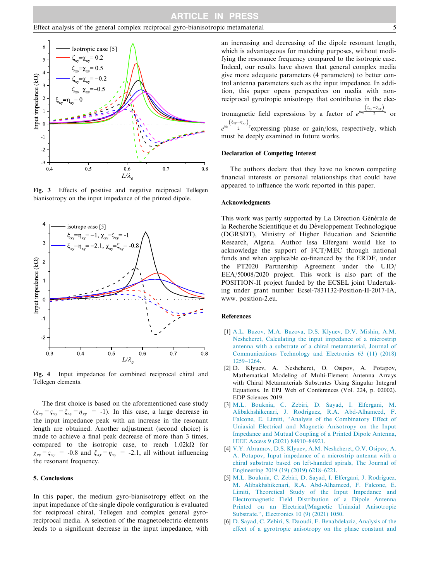## <span id="page-4-0"></span>Effect analysis of the general complex reciprocal gyro-bianisotropic metamaterial 5



Fig. 3 Effects of positive and negative reciprocal Tellegen bianisotropy on the input impedance of the printed dipole.



Fig. 4 Input impedance for combined reciprocal chiral and Tellegen elements.

The first choice is based on the aforementioned case study  $(\chi_{xy} = \zeta_{xy} = \zeta_{xy} = \eta_{xy} = -1)$ . In this case, a large decrease in the input impedance peak with an increase in the resonant length are obtained. Another adjustment (second choice) is made to achieve a final peak decrease of more than 3 times, compared to the isotropic case, to reach  $1.02k\Omega$  for  $\chi_{xy} = \varsigma_{xy}$  = -0.8 and  $\xi_{xy} = \eta_{xy}$  = -2.1, all without influencing the resonant frequency.

# 5. Conclusions

In this paper, the medium gyro-bianisotropy effect on the input impedance of the single dipole configuration is evaluated for reciprocal chiral, Tellegen and complex general gyroreciprocal media. A selection of the magnetoelectric elements leads to a significant decrease in the input impedance, with an increasing and decreasing of the dipole resonant length, which is advantageous for matching purposes, without modifying the resonance frequency compared to the isotropic case. Indeed, our results have shown that general complex media give more adequate parameters (4 parameters) to better control antenna parameters such as the input impedance. In addition, this paper opens perspectives on media with nonreciprocal gyrotropic anisotropy that contributes in the elec-

tromagnetic field expressions by a factor of  $e^{i\kappa_0 \frac{(S_{xy}-\chi_{xy})}{2}}$  or

 $e^{\kappa_0}\frac{(\zeta_{xy}-\eta_{xy})}{2}$ z expressing phase or gain/loss, respectively, which must be deeply examined in future works.

## Declaration of Competing Interest

The authors declare that they have no known competing financial interests or personal relationships that could have appeared to influence the work reported in this paper.

### Acknowledgments

This work was partly supported by La Direction Générale de la Recherche Scientifique et du Développement Technologique (DGRSDT), Ministry of Higher Education and Scientific Research, Algeria. Author Issa Elfergani would like to acknowledge the support of FCT/MEC through national funds and when applicable co-financed by the ERDF, under the PT2020 Partnership Agreement under the UID/ EEA/50008/2020 project. This work is also part of the POSITION-II project funded by the ECSEL joint Undertaking under grant number Ecsel-7831132-Position-II-2017-IA, www. position-2.eu.

# References

- [1] [A.L. Buzov, M.A. Buzova, D.S. Klyuev, D.V. Mishin, A.M.](http://refhub.elsevier.com/S1110-0168(21)00616-5/h0005) [Neshcheret, Calculating the input impedance of a microstrip](http://refhub.elsevier.com/S1110-0168(21)00616-5/h0005) [antenna with a substrate of a chiral metamaterial, Journal of](http://refhub.elsevier.com/S1110-0168(21)00616-5/h0005) [Communications Technology and Electronics 63 \(11\) \(2018\)](http://refhub.elsevier.com/S1110-0168(21)00616-5/h0005) [1259–1264.](http://refhub.elsevier.com/S1110-0168(21)00616-5/h0005)
- [2] D. Klyuev, A. Neshcheret, O. Osipov, A. Potapov, Mathematical Modeling of Multi-Element Antenna Arrays with Chiral Metamaterials Substrates Using Singular Integral Equations. In EPJ Web of Conferences (Vol. 224, p. 02002). EDP Sciences 2019.
- [3] [M.L. Bouknia, C. Zebiri, D. Sayad, I. Elfergani, M.](http://refhub.elsevier.com/S1110-0168(21)00616-5/h0015) [Alibakhshikenari, J. Rodriguez, R.A. Abd-Alhameed, F.](http://refhub.elsevier.com/S1110-0168(21)00616-5/h0015) [Falcone, E. Limiti, ''Analysis of the Combinatory Effect of](http://refhub.elsevier.com/S1110-0168(21)00616-5/h0015) [Uniaxial Electrical and Magnetic Anisotropy on the Input](http://refhub.elsevier.com/S1110-0168(21)00616-5/h0015) [Impedance and Mutual Coupling of a Printed Dipole Antenna,](http://refhub.elsevier.com/S1110-0168(21)00616-5/h0015) [IEEE Access 9 \(2021\) 84910–84921](http://refhub.elsevier.com/S1110-0168(21)00616-5/h0015).
- [4] [V.Y. Abramov, D.S. Klyuev, A.M. Neshcheret, O.V. Osipov, A.](http://refhub.elsevier.com/S1110-0168(21)00616-5/h0020) [A. Potapov, Input impedance of a microstrip antenna with a](http://refhub.elsevier.com/S1110-0168(21)00616-5/h0020) [chiral substrate based on left-handed spirals, The Journal of](http://refhub.elsevier.com/S1110-0168(21)00616-5/h0020) [Engineering 2019 \(19\) \(2019\) 6218–6221](http://refhub.elsevier.com/S1110-0168(21)00616-5/h0020).
- [5] [M.L. Bouknia, C. Zebiri, D. Sayad, I. Elfergani, J. Rodriguez,](http://refhub.elsevier.com/S1110-0168(21)00616-5/h0025) [M. Alibakhshikenari, R.A. Abd-Alhameed, F. Falcone, E.](http://refhub.elsevier.com/S1110-0168(21)00616-5/h0025) [Limiti, Theoretical Study of the Input Impedance and](http://refhub.elsevier.com/S1110-0168(21)00616-5/h0025) [Electromagnetic Field Distribution of a Dipole Antenna](http://refhub.elsevier.com/S1110-0168(21)00616-5/h0025) [Printed on an Electrical/Magnetic Uniaxial Anisotropic](http://refhub.elsevier.com/S1110-0168(21)00616-5/h0025) [Substrate.'', Electronics 10 \(9\) \(2021\) 1050.](http://refhub.elsevier.com/S1110-0168(21)00616-5/h0025)
- [6] [D. Sayad, C. Zebiri, S. Daoudi, F. Benabdelaziz, Analysis of the](http://refhub.elsevier.com/S1110-0168(21)00616-5/h0030) [effect of a gyrotropic anisotropy on the phase constant and](http://refhub.elsevier.com/S1110-0168(21)00616-5/h0030)